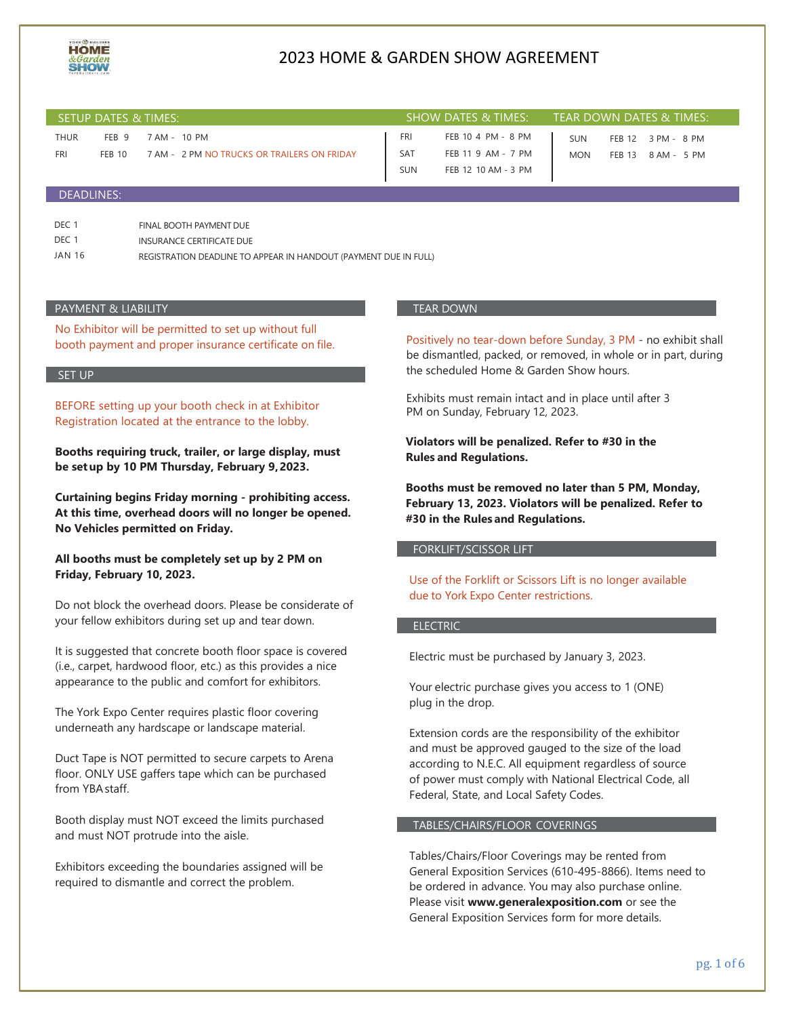

| SETUP DATES & TIMES: |                                   |                                                             |  | <b>SHOW DATES &amp; TIMES:</b>  |                                                                 | TEAR DOWN DATES & TIMES: |               |                                   |  |
|----------------------|-----------------------------------|-------------------------------------------------------------|--|---------------------------------|-----------------------------------------------------------------|--------------------------|---------------|-----------------------------------|--|
| <b>THUR</b><br>FRI   | FEB <sub>9</sub><br><b>FEB 10</b> | 7 AM - 10 PM<br>7 AM - 2 PM NO TRUCKS OR TRAILERS ON FRIDAY |  | FRI<br><b>SAT</b><br><b>SUN</b> | FEB 10 4 PM - 8 PM<br>FEB 11 9 AM - 7 PM<br>FEB 12 10 AM - 3 PM | <b>SUN</b><br><b>MON</b> | <b>FEB 13</b> | FEB 12 3 PM - 8 PM<br>8 AM - 5 PM |  |
| <b>DEADLINES:</b>    |                                   |                                                             |  |                                 |                                                                 |                          |               |                                   |  |

| DEC 1  | FINAL BOOTH PAYMENT DUE                                          |
|--------|------------------------------------------------------------------|
| DEC 1  | INSURANCE CERTIFICATE DUE                                        |
| JAN 16 | REGISTRATION DEADLINE TO APPEAR IN HANDOUT (PAYMENT DUE IN FULL) |

#### PAYMENT & LIABILITY

No Exhibitor will be permitted to set up without full booth payment and proper insurance certificate on file.

#### SET UP

BEFORE setting up your booth check in at Exhibitor Registration located at the entrance to the lobby.

**Booths requiring truck, trailer, or large display, must be setup by 10 PM Thursday, February 9,2023.**

**Curtaining begins Friday morning - prohibiting access. At this time, overhead doors will no longer be opened. No Vehicles permitted on Friday.**

**All booths must be completely set up by 2 PM on Friday, February 10, 2023.**

Do not block the overhead doors. Please be considerate of your fellow exhibitors during set up and tear down.

It is suggested that concrete booth floor space is covered (i.e., carpet, hardwood floor, etc.) as this provides a nice appearance to the public and comfort for exhibitors.

The York Expo Center requires plastic floor covering underneath any hardscape or landscape material.

Duct Tape is NOT permitted to secure carpets to Arena floor. ONLY USE gaffers tape which can be purchased from YBAstaff.

Booth display must NOT exceed the limits purchased and must NOT protrude into the aisle.

Exhibitors exceeding the boundaries assigned will be required to dismantle and correct the problem.

#### TEAR DOWN

Positively no tear-down before Sunday, 3 PM - no exhibit shall be dismantled, packed, or removed, in whole or in part, during the scheduled Home & Garden Show hours.

Exhibits must remain intact and in place until after 3 PM on Sunday, February 12, 2023.

**Violators will be penalized. Refer to #30 in the Rules and Regulations.**

**Booths must be removed no later than 5 PM, Monday, February 13, 2023. Violators will be penalized. Refer to #30 in the Rules and Regulations.**

### FORKLIFT/SCISSOR LIFT

Use of the Forklift or Scissors Lift is no longer available due to York Expo Center restrictions.

#### ELECTRIC

Electric must be purchased by January 3, 2023.

Your electric purchase gives you access to 1 (ONE) plug in the drop.

Extension cords are the responsibility of the exhibitor and must be approved gauged to the size of the load according to N.E.C. All equipment regardless of source of power must comply with National Electrical Code, all Federal, State, and Local Safety Codes.

#### TABLES/CHAIRS/FLOOR COVERINGS

Tables/Chairs/Floor Coverings may be rented from General Exposition Services (610-495-8866). Items need to be ordered in advance. You may also purchase online. Please visit **[www.generalexposition.com](http://www.generalexposition.com/)** or see the General Exposition Services form for more details.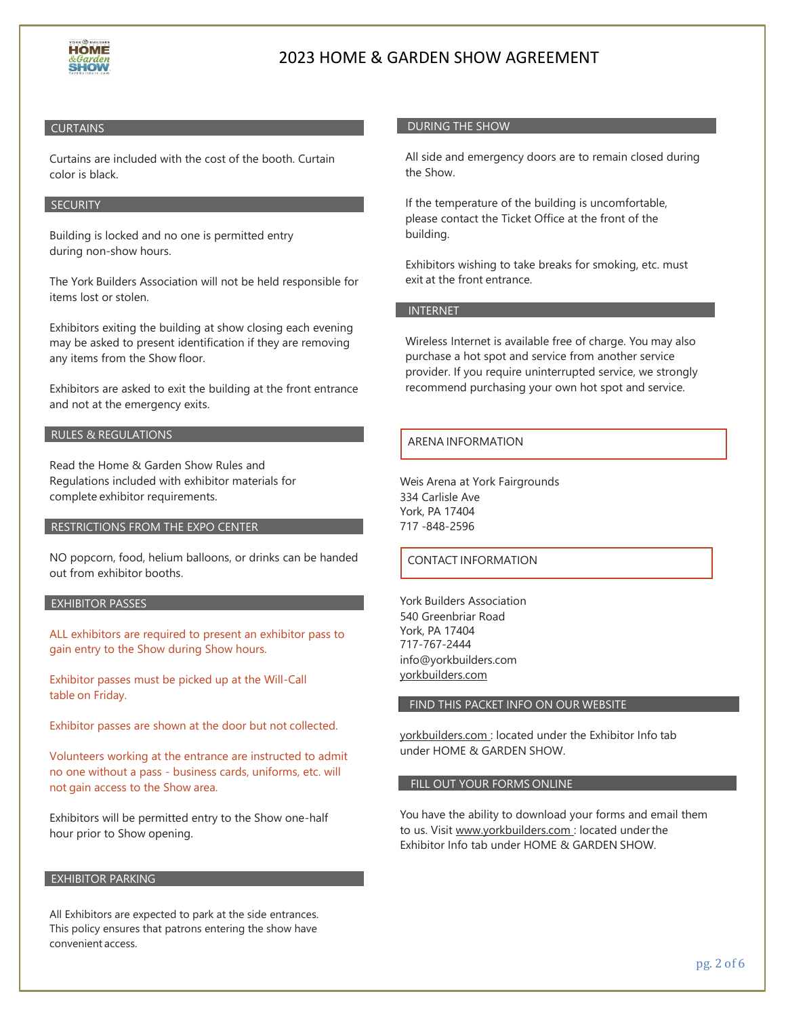

## **CURTAINS**

Curtains are included with the cost of the booth. Curtain color is black.

## **SECURITY**

Building is locked and no one is permitted entry during non-show hours.

The York Builders Association will not be held responsible for items lost or stolen.

Exhibitors exiting the building at show closing each evening may be asked to present identification if they are removing any items from the Show floor.

Exhibitors are asked to exit the building at the front entrance and not at the emergency exits.

#### RULES & REGULATIONS

Read the Home & Garden Show Rules and Regulations included with exhibitor materials for complete exhibitor requirements.

### RESTRICTIONS FROM THE EXPO CENTER

NO popcorn, food, helium balloons, or drinks can be handed out from exhibitor booths.

## EXHIBITOR PASSES

ALL exhibitors are required to present an exhibitor pass to gain entry to the Show during Show hours.

Exhibitor passes must be picked up at the Will-Call table on Friday.

Exhibitor passes are shown at the door but not collected.

Volunteers working at the entrance are instructed to admit no one without a pass - business cards, uniforms, etc. will not gain access to the Show area.

Exhibitors will be permitted entry to the Show one-half hour prior to Show opening.

### EXHIBITOR PARKING

All Exhibitors are expected to park at the side entrances. This policy ensures that patrons entering the show have convenient access.

## DURING THE SHOW

All side and emergency doors are to remain closed during the Show.

If the temperature of the building is uncomfortable, please contact the Ticket Office at the front of the building.

Exhibitors wishing to take breaks for smoking, etc. must exit at the front entrance.

## INTERNET

Wireless Internet is available free of charge. You may also purchase a hot spot and service from another service provider. If you require uninterrupted service, we strongly recommend purchasing your own hot spot and service.

## ARENA INFORMATION

Weis Arena at York Fairgrounds 334 Carlisle Ave York, PA 17404 717 -848-2596

### CONTACT INFORMATION

York Builders Association 540 Greenbriar Road York, PA 17404 717-767-2444 [info@yorkbuilders.com](mailto:info@yorkbuilders.com) yorkbuilders.com

### FIND THIS PACKET INFO ON OUR WEBSITE

yorkbuilders.com : located under the Exhibitor Info tab under HOME & GARDEN SHOW.

### FILL OUT YOUR FORMS ONLINE

You have the ability to download your forms and email them to us. Visit [www.yorkbuilders.com :](http://www.yorkbuilders.com/) located underthe Exhibitor Info tab under HOME & GARDEN SHOW.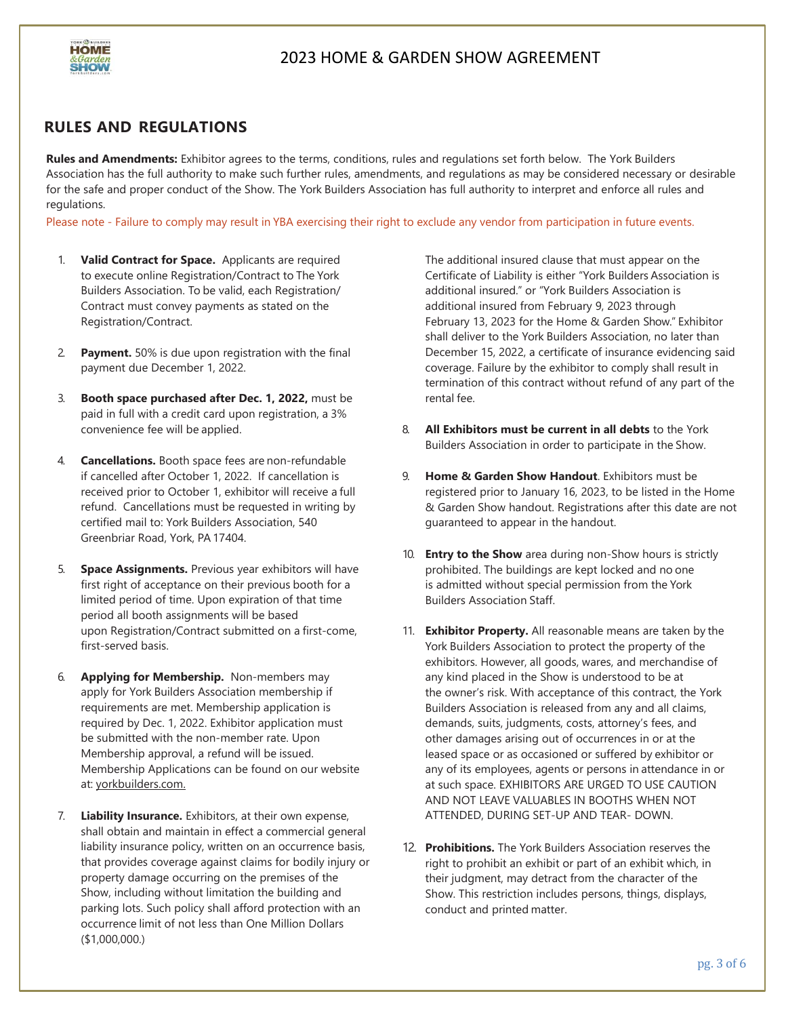

## **RULES AND REGULATIONS**

**Rules and Amendments:** Exhibitor agrees to the terms, conditions, rules and regulations set forth below. The York Builders Association has the full authority to make such further rules, amendments, and regulations as may be considered necessary or desirable for the safe and proper conduct of the Show. The York Builders Association has full authority to interpret and enforce all rules and regulations.

Please note - Failure to comply may result in YBA exercising their right to exclude any vendor from participation in future events.

- 1. **Valid Contract for Space.** Applicants are required to execute online Registration/Contract to The York Builders Association. To be valid, each Registration/ Contract must convey payments as stated on the Registration/Contract.
- 2. **Payment.** 50% is due upon registration with the final payment due December 1, 2022.
- 3. **Booth space purchased after Dec. 1, 2022,** must be paid in full with a credit card upon registration, a 3% convenience fee will be applied.
- 4. **Cancellations.** Booth space fees are non-refundable if cancelled after October 1, 2022. If cancellation is received prior to October 1, exhibitor will receive a full refund. Cancellations must be requested in writing by certified mail to: York Builders Association, 540 Greenbriar Road, York, PA 17404.
- 5. **Space Assignments.** Previous year exhibitors will have first right of acceptance on their previous booth for a limited period of time. Upon expiration of that time period all booth assignments will be based upon Registration/Contract submitted on a first-come, first-served basis.
- 6. **Applying for Membership.** Non-members may apply for York Builders Association membership if requirements are met. Membership application is required by Dec. 1, 2022. Exhibitor application must be submitted with the non-member rate. Upon Membership approval, a refund will be issued. Membership Applications can be found on our website at: yorkbuilders.com.
- 7. **Liability Insurance.** Exhibitors, at their own expense, shall obtain and maintain in effect a commercial general liability insurance policy, written on an occurrence basis, that provides coverage against claims for bodily injury or property damage occurring on the premises of the Show, including without limitation the building and parking lots. Such policy shall afford protection with an occurrence limit of not less than One Million Dollars (\$1,000,000.)

The additional insured clause that must appear on the Certificate of Liability is either "York Builders Association is additional insured." or "York Builders Association is additional insured from February 9, 2023 through February 13, 2023 for the Home & Garden Show." Exhibitor shall deliver to the York Builders Association, no later than December 15, 2022, a certificate of insurance evidencing said coverage. Failure by the exhibitor to comply shall result in termination of this contract without refund of any part of the rental fee.

- 8. **All Exhibitors must be current in all debts** to the York Builders Association in order to participate in the Show.
- 9. **Home & Garden Show Handout**. Exhibitors must be registered prior to January 16, 2023, to be listed in the Home & Garden Show handout. Registrations after this date are not guaranteed to appear in the handout.
- 10. **Entry to the Show** area during non-Show hours is strictly prohibited. The buildings are kept locked and no one is admitted without special permission from the York Builders Association Staff.
- 11. **Exhibitor Property.** All reasonable means are taken by the York Builders Association to protect the property of the exhibitors. However, all goods, wares, and merchandise of any kind placed in the Show is understood to be at the owner's risk. With acceptance of this contract, the York Builders Association is released from any and all claims, demands, suits, judgments, costs, attorney's fees, and other damages arising out of occurrences in or at the leased space or as occasioned or suffered by exhibitor or any of its employees, agents or persons in attendance in or at such space. EXHIBITORS ARE URGED TO USE CAUTION AND NOT LEAVE VALUABLES IN BOOTHS WHEN NOT ATTENDED, DURING SET-UP AND TEAR- DOWN.
- 12. **Prohibitions.** The York Builders Association reserves the right to prohibit an exhibit or part of an exhibit which, in their judgment, may detract from the character of the Show. This restriction includes persons, things, displays, conduct and printed matter.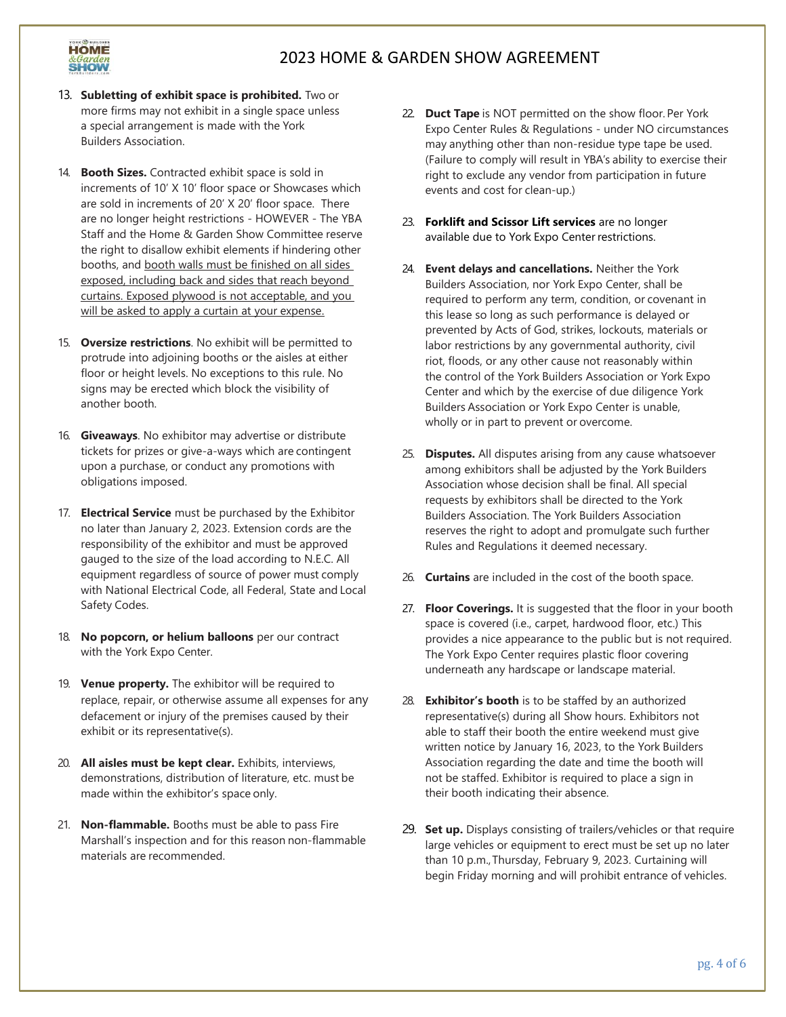

- 13. **Subletting of exhibit space is prohibited.** Two or more firms may not exhibit in a single space unless a special arrangement is made with the York Builders Association.
- 14. **Booth Sizes.** Contracted exhibit space is sold in increments of 10' X 10' floor space or Showcases which are sold in increments of 20' X 20' floor space. There are no longer height restrictions - HOWEVER - The YBA Staff and the Home & Garden Show Committee reserve the right to disallow exhibit elements if hindering other booths, and booth walls must be finished on all sides exposed, including back and sides that reach beyond curtains. Exposed plywood is not acceptable, and you will be asked to apply a curtain at your expense.
- 15. **Oversize restrictions**. No exhibit will be permitted to protrude into adjoining booths or the aisles at either floor or height levels. No exceptions to this rule. No signs may be erected which block the visibility of another booth.
- 16. **Giveaways**. No exhibitor may advertise or distribute tickets for prizes or give-a-ways which are contingent upon a purchase, or conduct any promotions with obligations imposed.
- 17. **Electrical Service** must be purchased by the Exhibitor no later than January 2, 2023. Extension cords are the responsibility of the exhibitor and must be approved gauged to the size of the load according to N.E.C. All equipment regardless of source of power must comply with National Electrical Code, all Federal, State and Local Safety Codes.
- 18. **No popcorn, or helium balloons** per our contract with the York Expo Center.
- 19. **Venue property.** The exhibitor will be required to replace, repair, or otherwise assume all expenses for any defacement or injury of the premises caused by their exhibit or its representative(s).
- 20. **All aisles must be kept clear.** Exhibits, interviews, demonstrations, distribution of literature, etc. must be made within the exhibitor's space only.
- 21. **Non-flammable.** Booths must be able to pass Fire Marshall's inspection and for this reason non-flammable materials are recommended.
- 22. **Duct Tape** is NOT permitted on the show floor.Per York Expo Center Rules & Regulations - under NO circumstances may anything other than non-residue type tape be used. (Failure to comply will result in YBA's ability to exercise their right to exclude any vendor from participation in future events and cost for clean-up.)
- 23. **Forklift and Scissor Lift services** are no longer available due to York Expo Center restrictions.
- 24. **Event delays and cancellations.** Neither the York Builders Association, nor York Expo Center, shall be required to perform any term, condition, or covenant in this lease so long as such performance is delayed or prevented by Acts of God, strikes, lockouts, materials or labor restrictions by any governmental authority, civil riot, floods, or any other cause not reasonably within the control of the York Builders Association or York Expo Center and which by the exercise of due diligence York Builders Association or York Expo Center is unable, wholly or in part to prevent or overcome.
- 25. **Disputes.** All disputes arising from any cause whatsoever among exhibitors shall be adjusted by the York Builders Association whose decision shall be final. All special requests by exhibitors shall be directed to the York Builders Association. The York Builders Association reserves the right to adopt and promulgate such further Rules and Regulations it deemed necessary.
- 26. **Curtains** are included in the cost of the booth space.
- 27. **Floor Coverings.** It is suggested that the floor in your booth space is covered (i.e., carpet, hardwood floor, etc.) This provides a nice appearance to the public but is not required. The York Expo Center requires plastic floor covering underneath any hardscape or landscape material.
- 28. **Exhibitor's booth** is to be staffed by an authorized representative(s) during all Show hours. Exhibitors not able to staff their booth the entire weekend must give written notice by January 16, 2023, to the York Builders Association regarding the date and time the booth will not be staffed. Exhibitor is required to place a sign in their booth indicating their absence.
- 29. **Set up.** Displays consisting of trailers/vehicles or that require large vehicles or equipment to erect must be set up no later than 10 p.m., Thursday, February 9, 2023. Curtaining will begin Friday morning and will prohibit entrance of vehicles.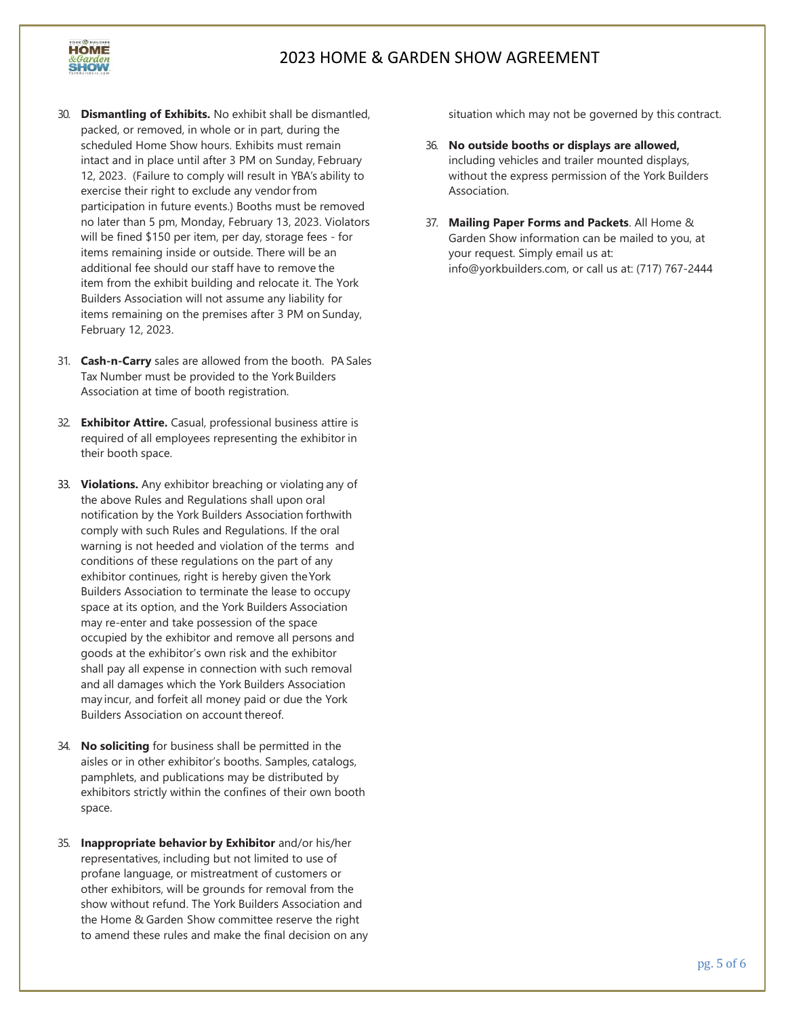

- 30. **Dismantling of Exhibits.** No exhibit shall be dismantled, packed, or removed, in whole or in part, during the scheduled Home Show hours. Exhibits must remain intact and in place until after 3 PM on Sunday, February 12, 2023. (Failure to comply will result in YBA's ability to exercise their right to exclude any vendor from participation in future events.) Booths must be removed no later than 5 pm, Monday, February 13, 2023. Violators will be fined \$150 per item, per day, storage fees - for items remaining inside or outside. There will be an additional fee should our staff have to remove the item from the exhibit building and relocate it. The York Builders Association will not assume any liability for items remaining on the premises after 3 PM on Sunday, February 12, 2023.
- 31. **Cash-n-Carry** sales are allowed from the booth. PA Sales Tax Number must be provided to the York Builders Association at time of booth registration.
- 32. **Exhibitor Attire.** Casual, professional business attire is required of all employees representing the exhibitor in their booth space.
- 33. **Violations.** Any exhibitor breaching or violating any of the above Rules and Regulations shall upon oral notification by the York Builders Association forthwith comply with such Rules and Regulations. If the oral warning is not heeded and violation of the terms and conditions of these regulations on the part of any exhibitor continues, right is hereby given theYork Builders Association to terminate the lease to occupy space at its option, and the York Builders Association may re-enter and take possession of the space occupied by the exhibitor and remove all persons and goods at the exhibitor's own risk and the exhibitor shall pay all expense in connection with such removal and all damages which the York Builders Association may incur, and forfeit all money paid or due the York Builders Association on account thereof.
- 34. **No soliciting** for business shall be permitted in the aisles or in other exhibitor's booths. Samples, catalogs, pamphlets, and publications may be distributed by exhibitors strictly within the confines of their own booth space.
- 35. **Inappropriate behavior by Exhibitor** and/or his/her representatives, including but not limited to use of profane language, or mistreatment of customers or other exhibitors, will be grounds for removal from the show without refund. The York Builders Association and the Home & Garden Show committee reserve the right to amend these rules and make the final decision on any

situation which may not be governed by this contract.

- 36. **No outside booths or displays are allowed,** including vehicles and trailer mounted displays, without the express permission of the York Builders Association.
- 37. **Mailing Paper Forms and Packets**. All Home & Garden Show information can be mailed to you, at your request. Simply email us at: [info@yorkbuilders.com,](mailto:info@yorkbuilders.com) or call us at: (717) 767-2444